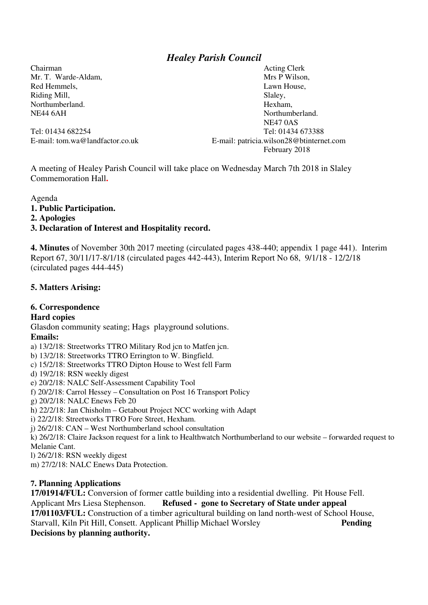# *Healey Parish Council*

Chairman Acting Clerk Riding Mill, Slaley,

Mr. T. Warde-Aldam, N. M. Mrs P Wilson, N. Mrs P Wilson, N. Mrs P Wilson, N. Mrs P Wilson, N. Mrs P Wilson, N. M. M. 2004, N. M. 2004, N. M. 2004, N. M. 2004, N. M. 2004, N. M. 2004, N. M. 2004, N. M. 2004, N. M. 2004, N. Red Hemmels, **Lawn House**, **Lawn House**, Northumberland. Hexham, NE44 6AH Northumberland. NE47 0AS Tel: 01434 682254 Tel: 01434 673388 E-mail: tom.wa@landfactor.co.uk E-mail: patricia.wilson28@btinternet.com February 2018

A meeting of Healey Parish Council will take place on Wednesday March 7th 2018 in Slaley Commemoration Hall**.**

Agenda

- **1. Public Participation.**
- **2. Apologies**

#### **3. Declaration of Interest and Hospitality record.**

**4. Minutes** of November 30th 2017 meeting (circulated pages 438-440; appendix 1 page 441). Interim Report 67, 30/11/17-8/1/18 (circulated pages 442-443), Interim Report No 68, 9/1/18 - 12/2/18 (circulated pages 444-445)

### **5. Matters Arising:**

### **6. Correspondence**

#### **Hard copies**

Glasdon community seating; Hags playground solutions.

#### **Emails:**

a) 13/2/18: Streetworks TTRO Military Rod jcn to Matfen jcn.

b) 13/2/18: Streetworks TTRO Errington to W. Bingfield.

- c) 15/2/18: Streetworks TTRO Dipton House to West fell Farm
- d) 19/2/18: RSN weekly digest

e) 20/2/18: NALC Self-Assessment Capability Tool

f) 20/2/18: Carrol Hessey – Consultation on Post 16 Transport Policy

g) 20/2/18: NALC Enews Feb 20

h) 22/2/18: Jan Chisholm – Getabout Project NCC working with Adapt

i) 22/2/18: Streetworks TTRO Fore Street, Hexham.

j) 26/2/18: CAN – West Northumberland school consultation

k) 26/2/18: Claire Jackson request for a link to Healthwatch Northumberland to our website – forwarded request to Melanie Cant.

l) 26/2/18: RSN weekly digest

m) 27/2/18: NALC Enews Data Protection.

### **7. Planning Applications**

**17/01914/FUL:** Conversion of former cattle building into a residential dwelling. Pit House Fell. Applicant Mrs Liesa Stephenson. **Refused - gone to Secretary of State under appeal 17/01103/FUL:** Construction of a timber agricultural building on land north-west of School House, Starvall, Kiln Pit Hill, Consett. Applicant Phillip Michael Worsley **Pending Decisions by planning authority.**